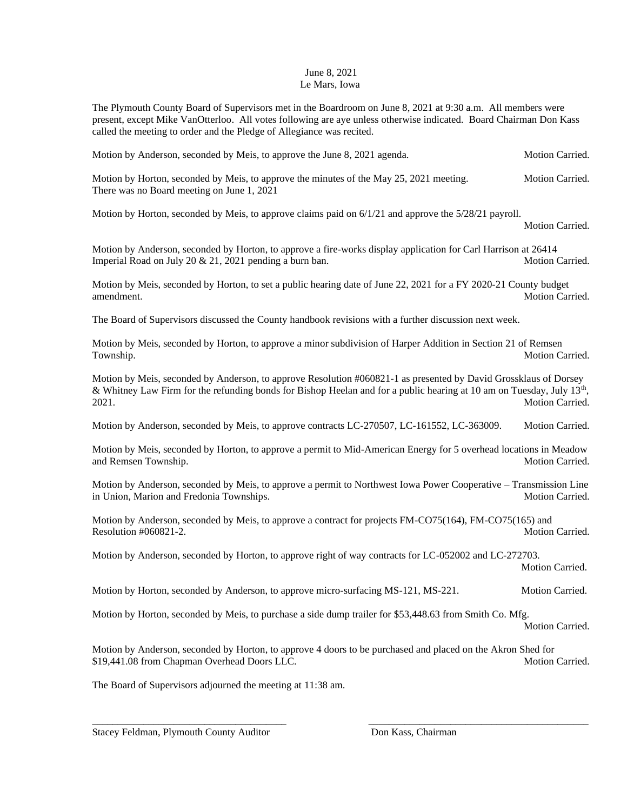## June 8, 2021 Le Mars, Iowa

The Plymouth County Board of Supervisors met in the Boardroom on June 8, 2021 at 9:30 a.m. All members were present, except Mike VanOtterloo. All votes following are aye unless otherwise indicated. Board Chairman Don Kass called the meeting to order and the Pledge of Allegiance was recited.

Motion by Anderson, seconded by Meis, to approve the June 8, 2021 agenda. Motion Carried.

Motion by Horton, seconded by Meis, to approve the minutes of the May 25, 2021 meeting. Motion Carried. There was no Board meeting on June 1, 2021

Motion by Horton, seconded by Meis, to approve claims paid on 6/1/21 and approve the 5/28/21 payroll.

Motion Carried.

Motion by Anderson, seconded by Horton, to approve a fire-works display application for Carl Harrison at 26414 Imperial Road on July 20  $\&$  21, 2021 pending a burn ban. Motion Carried.

Motion by Meis, seconded by Horton, to set a public hearing date of June 22, 2021 for a FY 2020-21 County budget amendment. Motion Carried.

The Board of Supervisors discussed the County handbook revisions with a further discussion next week.

Motion by Meis, seconded by Horton, to approve a minor subdivision of Harper Addition in Section 21 of Remsen Township. Motion Carried.

Motion by Meis, seconded by Anderson, to approve Resolution #060821-1 as presented by David Grossklaus of Dorsey & Whitney Law Firm for the refunding bonds for Bishop Heelan and for a public hearing at 10 am on Tuesday, July  $13<sup>th</sup>$ , 2021. Motion Carried.

Motion by Anderson, seconded by Meis, to approve contracts LC-270507, LC-161552, LC-363009. Motion Carried.

Motion by Meis, seconded by Horton, to approve a permit to Mid-American Energy for 5 overhead locations in Meadow and Remsen Township. The contract of the contract of the contract of the contract of the contract of the contract of the contract of the contract of the contract of the contract of the contract of the contract of the contr

Motion by Anderson, seconded by Meis, to approve a permit to Northwest Iowa Power Cooperative – Transmission Line in Union, Marion and Fredonia Townships. The contract of the contract of the contract of the contract of the contract of the contract of the contract of the contract of the contract of the contract of the contract of the c

Motion by Anderson, seconded by Meis, to approve a contract for projects FM-CO75(164), FM-CO75(165) and Resolution #060821-2. Motion Carried.

Motion by Anderson, seconded by Horton, to approve right of way contracts for LC-052002 and LC-272703. Motion Carried.

Motion by Horton, seconded by Anderson, to approve micro-surfacing MS-121, MS-221. Motion Carried.

Motion by Horton, seconded by Meis, to purchase a side dump trailer for \$53,448.63 from Smith Co. Mfg. Motion Carried.

Motion by Anderson, seconded by Horton, to approve 4 doors to be purchased and placed on the Akron Shed for \$19,441.08 from Chapman Overhead Doors LLC. Motion Carried. Motion Carried.

\_\_\_\_\_\_\_\_\_\_\_\_\_\_\_\_\_\_\_\_\_\_\_\_\_\_\_\_\_\_\_\_\_\_\_\_\_\_ \_\_\_\_\_\_\_\_\_\_\_\_\_\_\_\_\_\_\_\_\_\_\_\_\_\_\_\_\_\_\_\_\_\_\_\_\_\_\_\_\_\_\_

The Board of Supervisors adjourned the meeting at 11:38 am.

Stacey Feldman, Plymouth County Auditor Don Kass, Chairman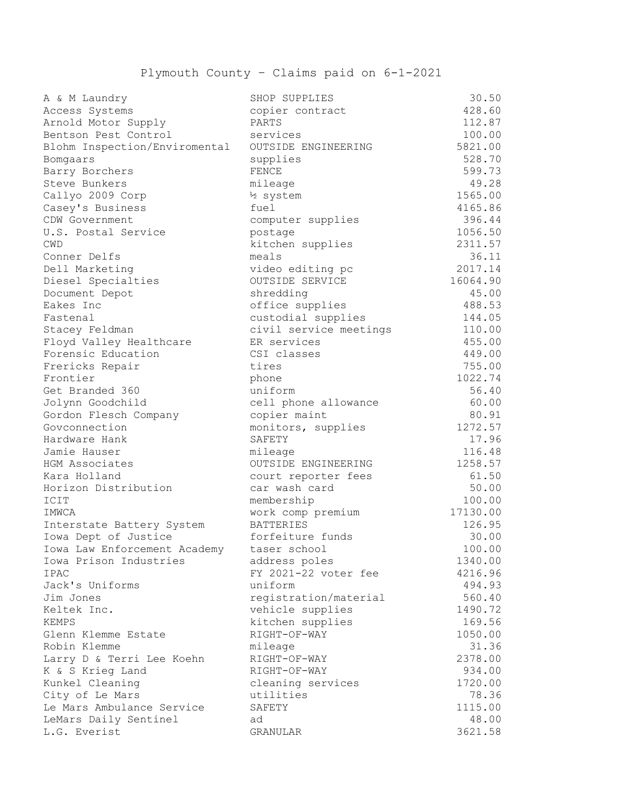## Plymouth County – Claims paid on 6-1-2021

| A & M Laundry                       | SHOP SUPPLIES          | 30.50    |
|-------------------------------------|------------------------|----------|
| Access Systems                      | copier contract        | 428.60   |
| Arnold Motor Supply                 | PARTS                  | 112.87   |
| Bentson Pest Control                | services               | 100.00   |
| Blohm Inspection/Enviromental       | OUTSIDE ENGINEERING    | 5821.00  |
| Bomgaars                            | supplies               | 528.70   |
| Barry Borchers                      | <b>FENCE</b>           | 599.73   |
| Steve Bunkers                       | mileage                | 49.28    |
| Callyo 2009 Corp                    | 12 system              | 1565.00  |
| Casey's Business                    | fuel                   | 4165.86  |
| CDW Government                      | computer supplies      | 396.44   |
| U.S. Postal Service                 | postage                | 1056.50  |
| <b>CWD</b>                          | kitchen supplies       | 2311.57  |
| Conner Delfs                        | meals                  | 36.11    |
| Dell Marketing                      | video editing pc       | 2017.14  |
| Diesel Specialties                  | OUTSIDE SERVICE        | 16064.90 |
| Document Depot                      | shredding              | 45.00    |
| Eakes Inc                           | office supplies        | 488.53   |
| Fastenal                            | custodial supplies     | 144.05   |
| Stacey Feldman                      | civil service meetings | 110.00   |
| Floyd Valley Healthcare             | ER services            | 455.00   |
| Forensic Education                  | CSI classes            | 449.00   |
| Frericks Repair                     | tires                  | 755.00   |
| Frontier                            | phone                  | 1022.74  |
| Get Branded 360                     | uniform                | 56.40    |
| Jolynn Goodchild                    | cell phone allowance   | 60.00    |
| Gordon Flesch Company               | copier maint           | 80.91    |
| Govconnection                       | monitors, supplies     | 1272.57  |
| Hardware Hank                       | SAFETY                 | 17.96    |
| Jamie Hauser                        | mileage                | 116.48   |
| HGM Associates                      | OUTSIDE ENGINEERING    | 1258.57  |
| Kara Holland                        | court reporter fees    | 61.50    |
| Horizon Distribution                | car wash card          | 50.00    |
| ICIT                                | membership             | 100.00   |
| IMWCA                               | work comp premium      | 17130.00 |
| Interstate Battery System           | <b>BATTERIES</b>       | 126.95   |
| Iowa Dept of Justice                | forfeiture funds       | 30.00    |
| Iowa Law Enforcement Academy        | taser school           | 100.00   |
| Iowa Prison Industries              | address poles          | 1340.00  |
| IPAC                                | FY 2021-22 voter fee   | 4216.96  |
| Jack's Uniforms                     | uniform                | 494.93   |
| Jim Jones                           | registration/material  | 560.40   |
| Keltek Inc.                         | vehicle supplies       | 1490.72  |
| KEMPS                               | kitchen supplies       | 169.56   |
|                                     | RIGHT-OF-WAY           | 1050.00  |
| Glenn Klemme Estate<br>Robin Klemme |                        |          |
|                                     | mileage                | 31.36    |
| Larry D & Terri Lee Koehn           | RIGHT-OF-WAY           | 2378.00  |
| K & S Krieg Land                    | RIGHT-OF-WAY           | 934.00   |
| Kunkel Cleaning                     | cleaning services      | 1720.00  |
| City of Le Mars                     | utilities              | 78.36    |
| Le Mars Ambulance Service           | SAFETY                 | 1115.00  |
| LeMars Daily Sentinel               | ad                     | 48.00    |
| L.G. Everist                        | GRANULAR               | 3621.58  |